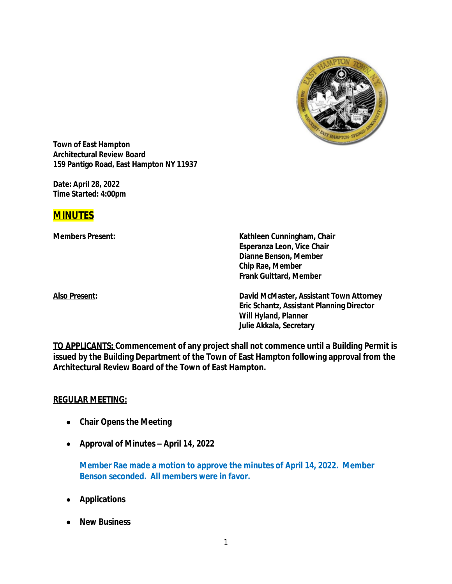

**Town of East Hampton Architectural Review Board 159 Pantigo Road, East Hampton NY 11937**

**Date:** *April 28, 2022* **Time Started: 4:00pm**

# **MINUTES**

**Members Present: Kathleen Cunningham, Chair Esperanza Leon, Vice Chair Dianne Benson, Member Chip Rae, Member Frank Guittard, Member**

**Also Present: David McMaster, Assistant Town Attorney Eric Schantz, Assistant Planning Director Will Hyland, Planner Julie Akkala, Secretary**

**TO APPLICANTS: Commencement of any project shall not commence until a Building Permit is issued by the Building Department of the Town of East Hampton following approval from the Architectural Review Board of the Town of East Hampton.**

#### **REGULAR MEETING:**

- **Chair Opens the Meeting**
- **Approval of Minutes –** *April 14, 2022*

**Member Rae made a motion to approve the minutes of April 14, 2022. Member Benson seconded. All members were in favor.**

- **Applications**
- **New Business**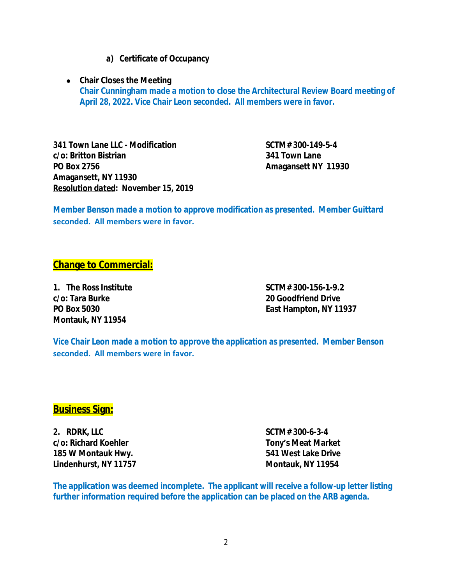- **a) Certificate of Occupancy**
- **Chair Closes the Meeting Chair Cunningham made a motion to close the Architectural Review Board meeting of April 28, 2022. Vice Chair Leon seconded. All members were in favor.**

**341 Town Lane LLC - Modification SCTM# 300-149-5-4 c/o: Britton Bistrian 341 Town Lane PO Box 2756 Amagansett NY 11930 Amagansett, NY 11930** *Resolution dated***:** *November 15, 2019*

**Member Benson made a motion to approve modification as presented. Member Guittard seconded. All members were in favor.**

## **Change to Commercial:**

**c/o: Tara Burke 20 Goodfriend Drive Montauk, NY 11954**

**1. The Ross Institute SCTM# 300-156-1-9.2 PO Box 5030 East Hampton, NY 11937**

**Vice Chair Leon made a motion to approve the application as presented. Member Benson seconded. All members were in favor.**

## **Business Sign:**

**2. RDRK, LLC SCTM# 300-6-3-4 c/o: Richard Koehler Tony's Meat Market 185 W Montauk Hwy. 541 West Lake Drive Lindenhurst, NY 11757 Montauk, NY 11954**

**The application was deemed incomplete. The applicant will receive a follow-up letter listing further information required before the application can be placed on the ARB agenda.**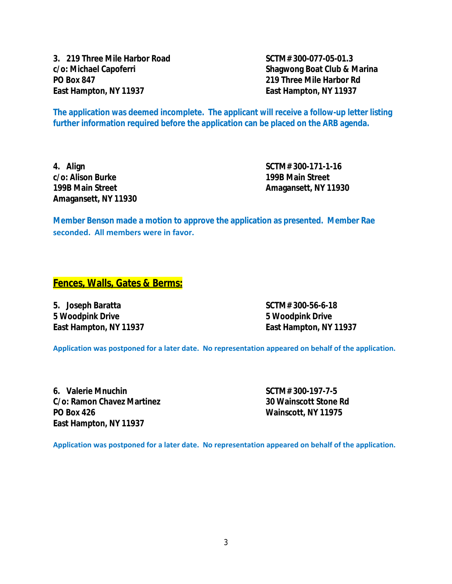**3. 219 Three Mile Harbor Road SCTM# 300-077-05-01.3 c/o: Michael Capoferri Shagwong Boat Club & Marina PO Box 847 219 Three Mile Harbor Rd East Hampton, NY 11937 East Hampton, NY 11937**

**The application was deemed incomplete. The applicant will receive a follow-up letter listing further information required before the application can be placed on the ARB agenda.**

**4. Align SCTM# 300-171-1-16 c/o: Alison Burke 199B Main Street Amagansett, NY 11930**

**199B Main Street Amagansett, NY 11930**

**Member Benson made a motion to approve the application as presented. Member Rae seconded. All members were in favor.**

#### **Fences, Walls, Gates & Berms:**

**5. Joseph Baratta SCTM# 300-56-6-18 5 Woodpink Drive 5 Woodpink Drive East Hampton, NY 11937 East Hampton, NY 11937**

**Application was postponed for a later date. No representation appeared on behalf of the application.**

**6. Valerie Mnuchin SCTM# 300-197-7-5 C/o: Ramon Chavez Martinez 30 Wainscott Stone Rd PO Box 426 Wainscott, NY 11975 East Hampton, NY 11937**

**Application was postponed for a later date. No representation appeared on behalf of the application.**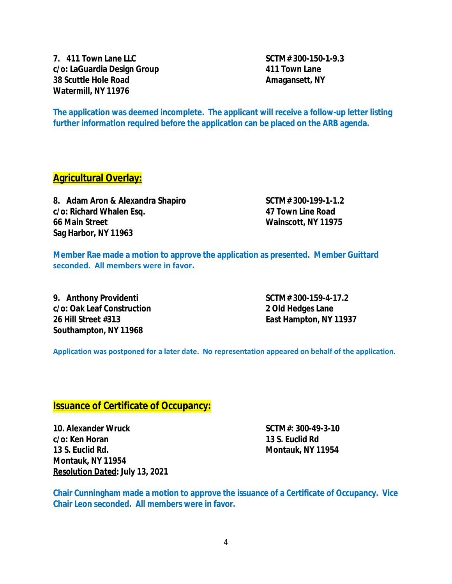**7. 411 Town Lane LLC SCTM# 300-150-1-9.3 c/o: LaGuardia Design Group 411 Town Lane 38 Scuttle Hole Road Amagansett**, NY **Watermill, NY 11976**

**The application was deemed incomplete. The applicant will receive a follow-up letter listing further information required before the application can be placed on the ARB agenda.**

## **Agricultural Overlay:**

8. Adam Aron & Alexandra Shapiro SCTM# 300-199-1-1.2 **c/o: Richard Whalen Esq. 47 Town Line Road 66 Main Street Wainscott, NY 11975 Sag Harbor, NY 11963**

**Member Rae made a motion to approve the application as presented. Member Guittard seconded. All members were in favor.**

**9. Anthony Providenti SCTM# 300-159-4-17.2 c/o: Oak Leaf Construction 2 Old Hedges Lane 26 Hill Street #313 East Hampton, NY 11937 Southampton, NY 11968**

**Application was postponed for a later date. No representation appeared on behalf of the application.**

## **Issuance of Certificate of Occupancy:**

**10. Alexander Wruck SCTM#: 300-49-3-10 c/o: Ken Horan 13 S. Euclid Rd 13 S. Euclid Rd. Montauk, NY 11954 Montauk, NY 11954** *Resolution Dated***: July 13, 2021**

**Chair Cunningham made a motion to approve the issuance of a Certificate of Occupancy. Vice Chair Leon seconded. All members were in favor.**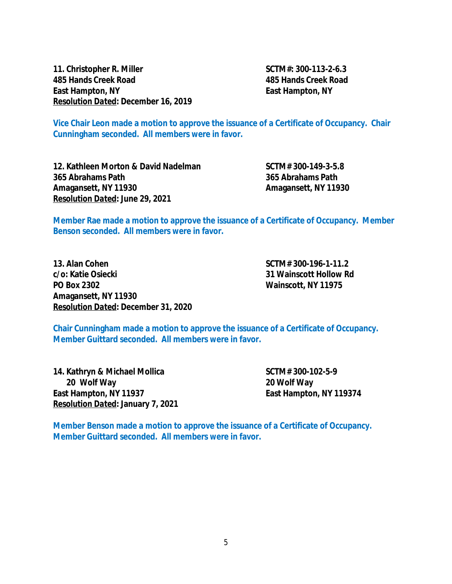**11. Christopher R. Miller SCTM#: 300-113-2-6.3 485 Hands Creek Road 485 Hands Creek Road East Hampton, NY East Hampton, NY** *Resolution Dated***: December 16, 2019**

**Vice Chair Leon made a motion to approve the issuance of a Certificate of Occupancy. Chair Cunningham seconded. All members were in favor.**

**12. Kathleen Morton & David Nadelman SCTM# 300-149-3-5.8 365 Abrahams Path 365 Abrahams Path Amagansett, NY 11930 Amagansett, NY 11930** *Resolution Dated***: June 29, 2021**

**Member Rae made a motion to approve the issuance of a Certificate of Occupancy. Member Benson seconded. All members were in favor.**

**13. Alan Cohen SCTM# 300-196-1-11.2 c/o: Katie Osiecki 31 Wainscott Hollow Rd PO Box 2302 Wainscott, NY 11975 Amagansett, NY 11930** *Resolution Dated***: December 31, 2020**

**Chair Cunningham made a motion to approve the issuance of a Certificate of Occupancy. Member Guittard seconded. All members were in favor.**

**14. Kathryn & Michael Mollica SCTM# 300-102-5-9 20 Wolf Way 20 Wolf Way East Hampton, NY 11937 East Hampton, NY 119374** *Resolution Dated***: January 7, 2021**

**Member Benson made a motion to approve the issuance of a Certificate of Occupancy. Member Guittard seconded. All members were in favor.**